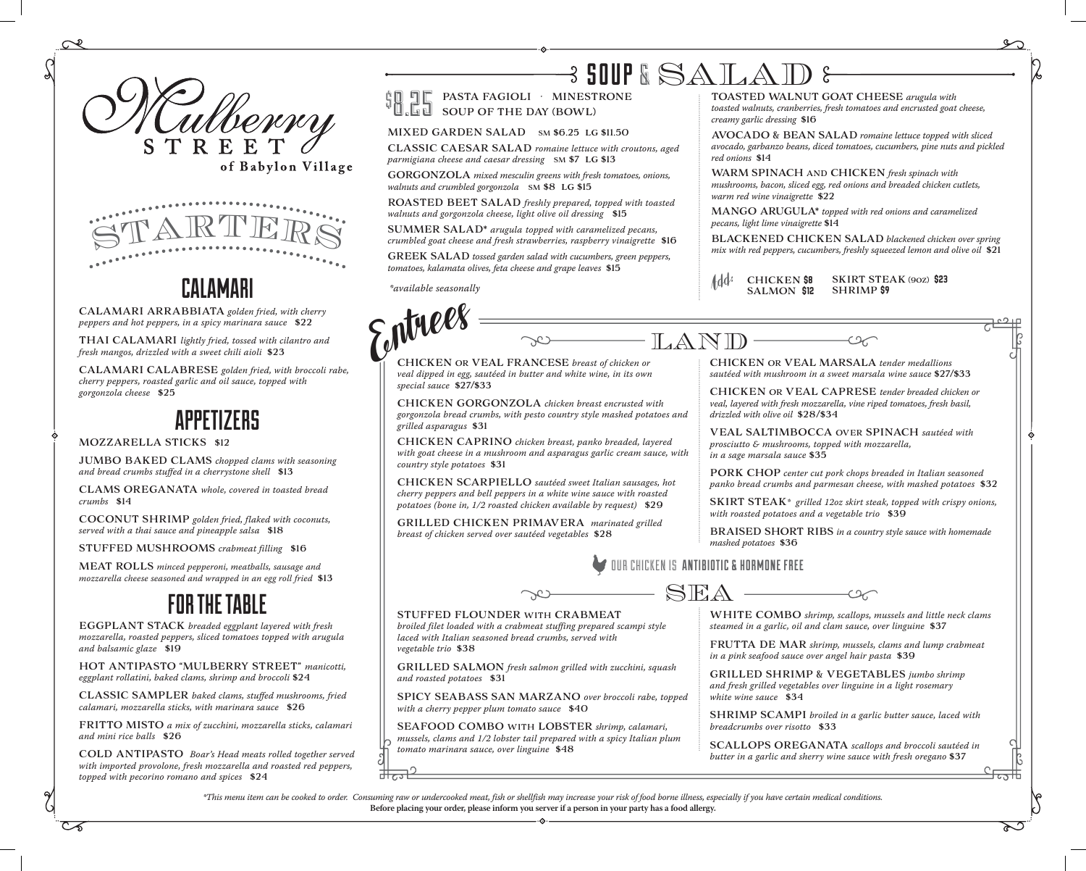



## CALAMARI

CALAMARI ARRABBIATA *golden fried, with cherry peppers and hot peppers, in a spicy marinara sauce* \$22

THAI CALAMARI *lightly fried, tossed with cilantro and fresh mangos, drizzled with a sweet chili aioli* \$23

CALAMARI CALABRESE *golden fried, with broccoli rabe, cherry peppers, roasted garlic and oil sauce, topped with gorgonzola cheese* \$25

## APPETIZERS

#### MOZZARELLA STICKS \$12

JUMBO BAKED CLAMS *chopped clams with seasoning and bread crumbs stuffed in a cherrystone shell* \$13

CLAMS OREGANATA *whole, covered in toasted bread crumbs* \$14

COCONUT SHRIMP *golden fried, flaked with coconuts, served with a thai sauce and pineapple salsa* \$18

STUFFED MUSHROOMS *crabmeat filling* \$16

MEAT ROLLS *minced pepperoni, meatballs, sausage and mozzarella cheese seasoned and wrapped in an egg roll fried* \$13

## FOR THE TABLE

EGGPLANT STACK *breaded eggplant layered with fresh mozzarella, roasted peppers, sliced tomatoes topped with arugula and balsamic glaze* \$19

HOT ANTIPASTO "MULBERRY STREET" *manicotti, eggplant rollatini, baked clams, shrimp and broccoli* \$24

CLASSIC SAMPLER *baked clams, stuffed mushrooms, fried calamari, mozzarella sticks, with marinara sauce* \$26

FRITTO MISTO *a mix of zucchini, mozzarella sticks, calamari and mini rice balls* \$26

COLD ANTIPASTO *Boar's Head meats rolled together served with imported provolone, fresh mozzarella and roasted red peppers, topped with pecorino romano and spices* \$24

## 3 SOUP & SATA $\Lambda$

PASTA FAGIOLI · MINESTRONE SOUP OF THE DAY (BOWL)  $\mathfrak{g}$ 8.25

#### MIXED GARDEN SALAD SM \$6.25 LG \$11.50

CLASSIC CAESAR SALAD *romaine lettuce with croutons, aged parmigiana cheese and caesar dressing* SM \$7 LG \$13

GORGONZOLA *mixed mesculin greens with fresh tomatoes, onions, walnuts and crumbled gorgonzola* SM \$8 LG \$15

ROASTED BEET SALAD *freshly prepared, topped with toasted walnuts and gorgonzola cheese, light olive oil dressing* \$15

SUMMER SALAD\* *arugula topped with caramelized pecans, crumbled goat cheese and fresh strawberries, raspberry vinaigrette* \$16

GREEK SALAD *tossed garden salad with cucumbers, green peppers, tomatoes, kalamata olives, feta cheese and grape leaves* \$15

*\*available seasonally*



*toasted walnuts, cranberries, fresh tomatoes and encrusted goat cheese, creamy garlic dressing* \$16

AVOCADO & BEAN SALAD *romaine lettuce topped with sliced avocado, garbanzo beans, diced tomatoes, cucumbers, pine nuts and pickled red onions* \$14

WARM SPINACH AND CHICKEN *fresh spinach with mushrooms, bacon, sliced egg, red onions and breaded chicken cutlets, warm red wine vinaigrette* \$22

MANGO ARUGULA\* *topped with red onions and caramelized pecans, light lime vinaigrette* \$14

BLACKENED CHICKEN SALAD *blackened chicken over spring mix with red peppers, cucumbers, freshly squeezed lemon and olive oil* \$21

SKIRT STEAK (90Z) \$23 SHRIMP \$9 CHICKEN **\$8**<br>SALMON **\$12** 

ENTREES OR VEAL FRANCESE *breast of chicken or veal dipped in egg, sautéed in butter and white wine, in its own special sauce* \$27/\$33

CHICKEN GORGONZOLA *chicken breast encrusted with gorgonzola bread crumbs, with pesto country style mashed potatoes and grilled asparagus* \$31

CHICKEN CAPRINO *chicken breast, panko breaded, layered with goat cheese in a mushroom and asparagus garlic cream sauce, with country style potatoes* \$31

CHICKEN SCARPIELLO *sautéed sweet Italian sausages, hot cherry peppers and bell peppers in a white wine sauce with roasted potatoes (bone in, 1/2 roasted chicken available by request)* \$29

GRILLED CHICKEN PRIMAVERA *marinated grilled breast of chicken served over sautéed vegetables* \$28

LAND CHICKEN OR VEAL MARSALA *tender medallions sautéed with mushroom in a sweet marsala wine sauce* \$27/\$33

> CHICKEN OR VEAL CAPRESE *tender breaded chicken or veal, layered with fresh mozzarella, vine riped tomatoes, fresh basil, drizzled with olive oil* \$28/\$34

VEAL SALTIMBOCCA OVER SPINACH *sautéed with prosciutto & mushrooms, topped with mozzarella, in a sage marsala sauce* \$35

PORK CHOP *center cut pork chops breaded in Italian seasoned panko bread crumbs and parmesan cheese, with mashed potatoes* \$32

SKIRT STEAK*\* grilled 12oz skirt steak, topped with crispy onions, with roasted potatoes and a vegetable trio* \$39

BRAISED SHORT RIBS *in a country style sauce with homemade mashed potatoes* \$36



SHRIMP SCAMPI *broiled in a garlic butter sauce, laced with breadcrumbs over risotto* \$33

SCALLOPS OREGANATA *scallops and broccoli sautéed in butter in a garlic and sherry wine sauce with fresh oregano* \$37

*\*This menu item can be cooked to order. Consuming raw or undercooked meat, fish or shellfish may increase your risk of food borne illness, especially if you have certain medical conditions.*  **Before placing your order, please inform you server if a person in your party has a food allergy.**

SEAFOOD COMBO WITH LOBSTER *shrimp, calamari, mussels, clams and 1/2 lobster tail prepared with a spicy Italian plum* 



*vegetable trio* \$38

*and roasted potatoes* \$31

*tomato marinara sauce, over linguine* \$48